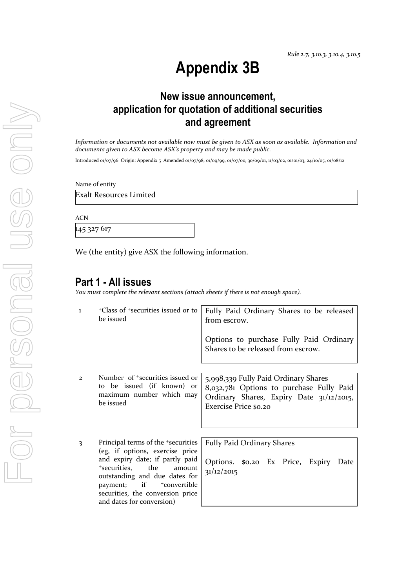# **Appendix 3B**

## **New issue announcement, application for quotation of additional securities and agreement**

*Information or documents not available now must be given to ASX as soon as available. Information and documents given to ASX become ASX's property and may be made public.*

Introduced 01/07/96 Origin: Appendix 5 Amended 01/07/98, 01/09/99, 01/07/00, 30/09/01, 11/03/02, 01/01/03, 24/10/05, 01/08/12

Name of entity

Exalt Resources Limited

ACN

145 327 617

We (the entity) give ASX the following information.

## **Part 1 - All issues**

*You must complete the relevant sections (attach sheets if there is not enough space).*

| $\mathbf{I}$ | <sup>+</sup> Class of <sup>+</sup> securities issued or to<br>be issued                                                                                                                                                                                                                            | Fully Paid Ordinary Shares to be released<br>from escrow.                                                                                             |
|--------------|----------------------------------------------------------------------------------------------------------------------------------------------------------------------------------------------------------------------------------------------------------------------------------------------------|-------------------------------------------------------------------------------------------------------------------------------------------------------|
|              |                                                                                                                                                                                                                                                                                                    | Options to purchase Fully Paid Ordinary<br>Shares to be released from escrow.                                                                         |
| $\mathbf{2}$ | Number of <sup>+</sup> securities issued or<br>to be issued (if known) or<br>maximum number which may<br>be issued                                                                                                                                                                                 | 5,998,339 Fully Paid Ordinary Shares<br>8,032,781 Options to purchase Fully Paid<br>Ordinary Shares, Expiry Date 31/12/2015,<br>Exercise Price \$0.20 |
| 3            | Principal terms of the <sup>+</sup> securities<br>(eg, if options, exercise price<br>and expiry date; if partly paid<br>the<br>+securities,<br>amount<br>outstanding and due dates for<br>payment; if<br><sup>+</sup> convertible<br>securities, the conversion price<br>and dates for conversion) | <b>Fully Paid Ordinary Shares</b><br>Options. \$0.20 Ex Price, Expiry<br>Date<br>31/12/2015                                                           |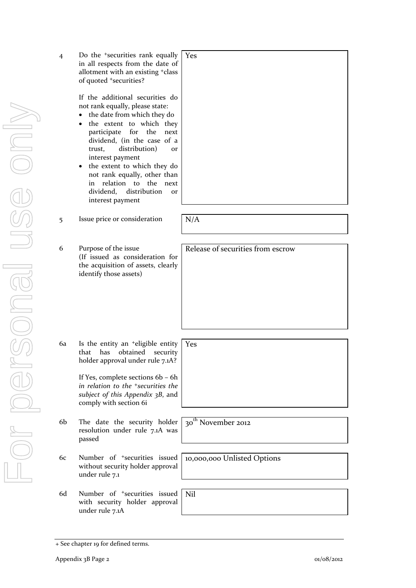| 4  | Do the <sup>+</sup> securities rank equally<br>in all respects from the date of<br>allotment with an existing <sup>+</sup> class<br>of quoted +securities?<br>If the additional securities do<br>not rank equally, please state:<br>the date from which they do<br>$\bullet$<br>the extent to which they<br>٠<br>for the<br>participate<br>next<br>dividend, (in the case of a<br>distribution)<br>trust,<br><b>or</b><br>interest payment<br>the extent to which they do<br>٠<br>not rank equally, other than<br>relation to the next<br>in<br>dividend,<br>distribution<br>or<br>interest payment | Yes                               |
|----|-----------------------------------------------------------------------------------------------------------------------------------------------------------------------------------------------------------------------------------------------------------------------------------------------------------------------------------------------------------------------------------------------------------------------------------------------------------------------------------------------------------------------------------------------------------------------------------------------------|-----------------------------------|
|    |                                                                                                                                                                                                                                                                                                                                                                                                                                                                                                                                                                                                     |                                   |
| 5  | Issue price or consideration                                                                                                                                                                                                                                                                                                                                                                                                                                                                                                                                                                        | N/A                               |
|    |                                                                                                                                                                                                                                                                                                                                                                                                                                                                                                                                                                                                     |                                   |
| 6  | Purpose of the issue<br>(If issued as consideration for<br>the acquisition of assets, clearly<br>identify those assets)                                                                                                                                                                                                                                                                                                                                                                                                                                                                             | Release of securities from escrow |
| 6a | Is the entity an <sup>+</sup> eligible entity                                                                                                                                                                                                                                                                                                                                                                                                                                                                                                                                                       | Yes                               |
|    | that<br>has<br>obtained<br>security<br>holder approval under rule 7.1A?<br>If Yes, complete sections 6b - 6h<br>in relation to the <sup>+</sup> securities the<br>subject of this Appendix 3B, and<br>comply with section 6i                                                                                                                                                                                                                                                                                                                                                                        |                                   |
| 6b | The date the security holder<br>resolution under rule 7.1A was<br>passed                                                                                                                                                                                                                                                                                                                                                                                                                                                                                                                            | 30 <sup>th</sup> November 2012    |
| 6c | Number of <sup>+</sup> securities issued<br>without security holder approval<br>under rule 7.1                                                                                                                                                                                                                                                                                                                                                                                                                                                                                                      | 10,000,000 Unlisted Options       |
| 6d | Number of <sup>+</sup> securities issued<br>with security holder approval<br>under rule 7.1A                                                                                                                                                                                                                                                                                                                                                                                                                                                                                                        | Nil                               |

<sup>+</sup> See chapter 19 for defined terms.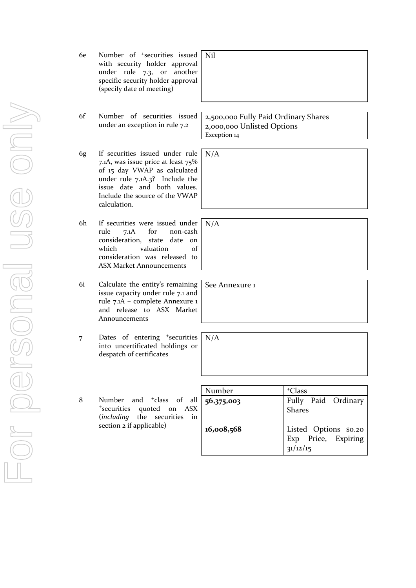| 6e | Number of <sup>+</sup> securities issued<br>with security holder approval<br>under rule 7.3, or another<br>specific security holder approval<br>(specify date of meeting)                                                   | Nil                                                                                |                                                                                      |
|----|-----------------------------------------------------------------------------------------------------------------------------------------------------------------------------------------------------------------------------|------------------------------------------------------------------------------------|--------------------------------------------------------------------------------------|
| 6f | Number of securities issued<br>under an exception in rule 7.2                                                                                                                                                               | 2,500,000 Fully Paid Ordinary Shares<br>2,000,000 Unlisted Options<br>Exception 14 |                                                                                      |
| 6g | If securities issued under rule<br>7.1A, was issue price at least 75%<br>of 15 day VWAP as calculated<br>under rule 7.1A.3? Include the<br>issue date and both values.<br>Include the source of the VWAP<br>calculation.    | N/A                                                                                |                                                                                      |
| 6h | If securities were issued under<br>for<br>rule<br>7.1A<br>non-cash<br>consideration, state<br>date<br><sub>on</sub><br>which<br>valuation<br>$\alpha$ f<br>consideration was released to<br><b>ASX Market Announcements</b> | N/A                                                                                |                                                                                      |
| 6i | Calculate the entity's remaining<br>issue capacity under rule 7.1 and<br>rule 7.1A - complete Annexure 1<br>and release to ASX Market<br>Announcements                                                                      | See Annexure 1                                                                     |                                                                                      |
| 7  | Dates of entering <sup>+</sup> securities<br>into uncertificated holdings or<br>despatch of certificates                                                                                                                    | N/A                                                                                |                                                                                      |
|    |                                                                                                                                                                                                                             |                                                                                    |                                                                                      |
|    |                                                                                                                                                                                                                             | Number                                                                             | <sup>+</sup> Class                                                                   |
| 8  | and <sup>+</sup> class of all<br>Number<br><sup>+</sup> securities<br>quoted<br>ASX<br>on<br>the<br>including)<br>securities<br>in<br>section 2 if applicable)                                                              | 56,375,003<br>16,008,568                                                           | Fully Paid Ordinary<br><b>Shares</b><br>Listed Options \$0.20<br>Exp Price, Expiring |
|    |                                                                                                                                                                                                                             |                                                                                    | 31/12/15                                                                             |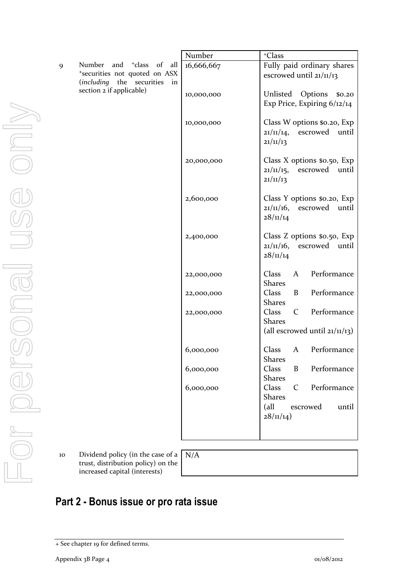| 9  | Number<br>$+$ class<br>and<br>$\sigma f$<br>all<br>*securities not quoted on ASX<br>(including the securities<br>in<br>section 2 if applicable) |
|----|-------------------------------------------------------------------------------------------------------------------------------------------------|
|    |                                                                                                                                                 |
|    |                                                                                                                                                 |
|    |                                                                                                                                                 |
|    |                                                                                                                                                 |
| 10 | Dividend policy (in the case of a<br>trust, distribution policy) on the<br>increased capital (interests)                                        |

| Number     | <sup>+</sup> Class                                                       |
|------------|--------------------------------------------------------------------------|
| 16,666,667 | Fully paid ordinary shares<br>escrowed until $21/11/13$                  |
| 10,000,000 | Unlisted Options \$0.20<br>Exp Price, Expiring $6/12/14$                 |
| 10,000,000 | Class W options \$0.20, Exp<br>21/11/14, escrowed until<br>21/11/13      |
| 20,000,000 | Class X options \$0.50, Exp<br>$21/11/15$ , escrowed until<br>21/11/13   |
| 2,600,000  | Class Y options \$0.20, Exp<br>$21/11/16$ , escrowed until<br>28/11/14   |
| 2,400,000  | Class Z options \$0.50, Exp<br>$21/11/16$ , escrowed until<br>28/11/14   |
| 22,000,000 | Class<br>A Performance<br><b>Shares</b>                                  |
| 22,000,000 | Class<br><b>B</b> Performance<br>Shares                                  |
| 22,000,000 | Class C Performance<br><b>Shares</b><br>(all escrowed until $21/11/13$ ) |
| 6,000,000  | A Performance<br>Class<br><b>Shares</b>                                  |
| 6,000,000  | Class<br><b>B</b> Performance<br><b>Shares</b>                           |
| 6,000,000  | Class<br>C Performance<br><b>Shares</b>                                  |
|            | (all<br>escrowed<br>until<br>28/11/14)                                   |
|            |                                                                          |

10 Dividend policy (in the case of a N/A trusteright cy) on the rests)

# **Part 2 - Bonus issue or pro rata issue**

<sup>+</sup> See chapter 19 for defined terms.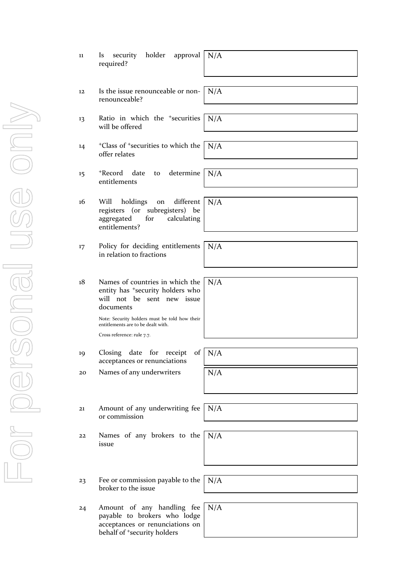|         | required?                                                                                                                                |     |
|---------|------------------------------------------------------------------------------------------------------------------------------------------|-----|
| 12      | Is the issue renounceable or non-<br>renounceable?                                                                                       | N/A |
| 13      | Ratio in which the <sup>+</sup> securities<br>will be offered                                                                            | N/A |
| 14      | <sup>+</sup> Class of <sup>+</sup> securities to which the<br>offer relates                                                              | N/A |
| $15 \,$ | +Record<br>determine<br>date<br>to<br>entitlements                                                                                       | N/A |
| 16      | Will<br>holdings<br>different<br>on<br>registers (or subregisters) be<br>calculating<br>aggregated<br>for<br>entitlements?               | N/A |
| 17      | Policy for deciding entitlements<br>in relation to fractions                                                                             | N/A |
| 18      | Names of countries in which the<br>entity has <sup>+</sup> security holders who<br>will not be sent new issue<br>documents               | N/A |
|         | Note: Security holders must be told how their<br>entitlements are to be dealt with.<br>Cross reference: rule 7.7.                        |     |
|         |                                                                                                                                          |     |
| 19      | Closing date for receipt<br>of <sub>1</sub><br>acceptances or renunciations                                                              | N/A |
| 20      | Names of any underwriters                                                                                                                | N/A |
|         |                                                                                                                                          |     |
| 21      | Amount of any underwriting fee<br>or commission                                                                                          | N/A |
| 22      | Names of any brokers to the<br>issue                                                                                                     | N/A |
|         |                                                                                                                                          |     |
| 23      | Fee or commission payable to the<br>broker to the issue                                                                                  | N/A |
| 24      | Amount of any handling fee<br>payable to brokers who lodge<br>acceptances or renunciations on<br>behalf of <sup>+</sup> security holders | N/A |

11 Is security holder approval N/A

For personal use only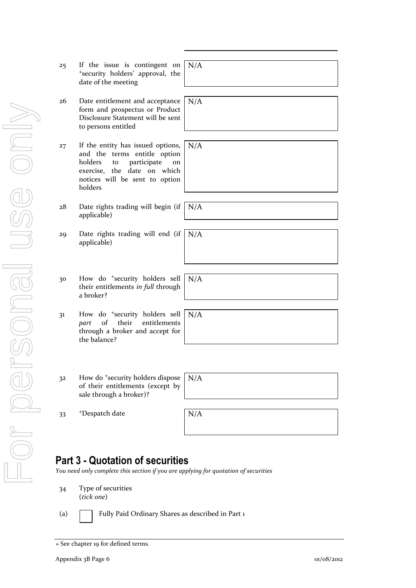| 25 | If the issue is contingent on<br>*security holders' approval, the<br>date of the meeting                                                                                            | N/A |
|----|-------------------------------------------------------------------------------------------------------------------------------------------------------------------------------------|-----|
| 26 | Date entitlement and acceptance                                                                                                                                                     | N/A |
|    | form and prospectus or Product<br>Disclosure Statement will be sent<br>to persons entitled                                                                                          |     |
|    |                                                                                                                                                                                     |     |
| 27 | If the entity has issued options,<br>and the terms entitle option<br>holders<br>participate<br>to<br>on<br>exercise, the date on which<br>notices will be sent to option<br>holders | N/A |
|    |                                                                                                                                                                                     |     |
| 28 | Date rights trading will begin (if<br>applicable)                                                                                                                                   | N/A |
| 29 | Date rights trading will end (if<br>applicable)                                                                                                                                     | N/A |
|    |                                                                                                                                                                                     |     |
| 30 | How do <sup>+</sup> security holders sell<br>their entitlements in full through<br>a broker?                                                                                        | N/A |
|    |                                                                                                                                                                                     |     |
| 31 | How do <sup>+</sup> security holders sell<br>of<br>their<br>entitlements<br>part<br>through a broker and accept for<br>the balance?                                                 | N/A |
|    |                                                                                                                                                                                     |     |
| 32 | How do <sup>+</sup> security holders dispose<br>of their entitlements (except by<br>sale through a broker)?                                                                         | N/A |
|    |                                                                                                                                                                                     |     |
| 33 | <sup>+</sup> Despatch date                                                                                                                                                          | N/A |
|    |                                                                                                                                                                                     |     |
|    |                                                                                                                                                                                     |     |

## **Part 3 - Quotation of securities**

*You need only complete this section if you are applying for quotation of securities*

- 34 Type of securities (*tick one*)
- 

(a) Fully Paid Ordinary Shares as described in Part 1

<sup>+</sup> See chapter 19 for defined terms.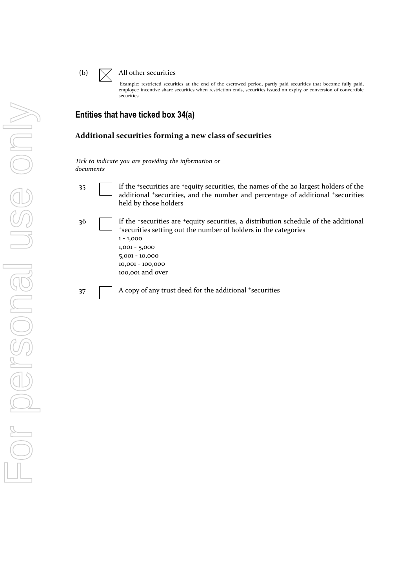#### (b)  $\Box$  All other securities

Example: restricted securities at the end of the escrowed period, partly paid securities that become fully paid, employee incentive share securities when restriction ends, securities issued on expiry or conversion of convertible securities

### **Entities that have ticked box 34(a)**

#### **Additional securities forming a new class of securities**

*Tick to indicate you are providing the information or documents*

- 
- 35 If the <sup>+</sup>securities are <sup>+</sup>equity securities, the names of the 20 largest holders of the additional <sup>+</sup>securities, and the number and percentage of additional <sup>+</sup>securities held by those holders
- 36 If the <sup>+</sup>securities are <sup>+</sup>equity securities, a distribution schedule of the additional <sup>+</sup>securities setting out the number of holders in the categories 1 - 1,000 1,001 - 5,000

5,001 - 10,000 10,001 - 100,000 100,001 and over

37 A copy of any trust deed for the additional +securities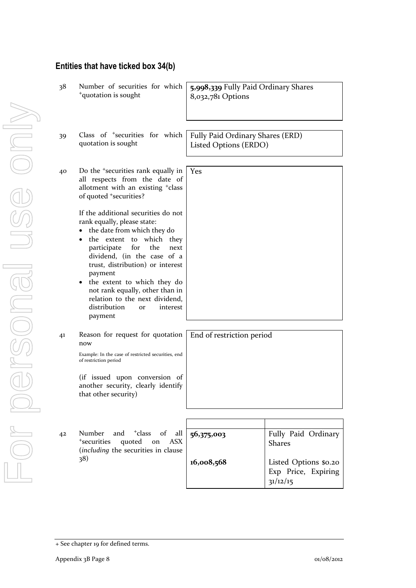| 38 | Number of securities for which<br><sup>+</sup> quotation is sought                                                                                                                                                                                                                                                                                                                                                                   | 5,998,339 Fully Paid Ordinary Shares<br>8,032,781 Options |                                      |
|----|--------------------------------------------------------------------------------------------------------------------------------------------------------------------------------------------------------------------------------------------------------------------------------------------------------------------------------------------------------------------------------------------------------------------------------------|-----------------------------------------------------------|--------------------------------------|
|    |                                                                                                                                                                                                                                                                                                                                                                                                                                      |                                                           |                                      |
| 39 | Class of <sup>+</sup> securities for which<br>quotation is sought                                                                                                                                                                                                                                                                                                                                                                    | Fully Paid Ordinary Shares (ERD)<br>Listed Options (ERDO) |                                      |
| 40 | Do the <sup>+</sup> securities rank equally in<br>all respects from the date of<br>allotment with an existing <sup>+</sup> class<br>of quoted <sup>+</sup> securities?                                                                                                                                                                                                                                                               | Yes                                                       |                                      |
|    | If the additional securities do not<br>rank equally, please state:<br>the date from which they do<br>$\bullet$<br>the extent to which they<br>$\bullet$<br>participate<br>for<br>the<br>next<br>dividend, (in the case of a<br>trust, distribution) or interest<br>payment<br>• the extent to which they do<br>not rank equally, other than in<br>relation to the next dividend,<br>distribution<br>interest<br><b>Or</b><br>payment |                                                           |                                      |
| 41 | Reason for request for quotation<br>now<br>Example: In the case of restricted securities, end<br>of restriction period                                                                                                                                                                                                                                                                                                               | End of restriction period                                 |                                      |
|    | (if issued upon conversion of<br>another security, clearly identify<br>that other security)                                                                                                                                                                                                                                                                                                                                          |                                                           |                                      |
|    |                                                                                                                                                                                                                                                                                                                                                                                                                                      |                                                           |                                      |
| 42 | <sup>+</sup> class<br>of<br>Number<br>and<br>all<br><sup>+</sup> securities<br>quoted<br>ASX<br>on<br>(including the securities in clause                                                                                                                                                                                                                                                                                            | 56,375,003                                                | Fully Paid Ordinary<br><b>Shares</b> |
|    | 38)                                                                                                                                                                                                                                                                                                                                                                                                                                  | 16,008,568                                                | Listed Options \$0.20                |

**Entities that have ticked box 34(b)**

Exp Price, Expiring

31/12/15

<sup>+</sup> See chapter 19 for defined terms.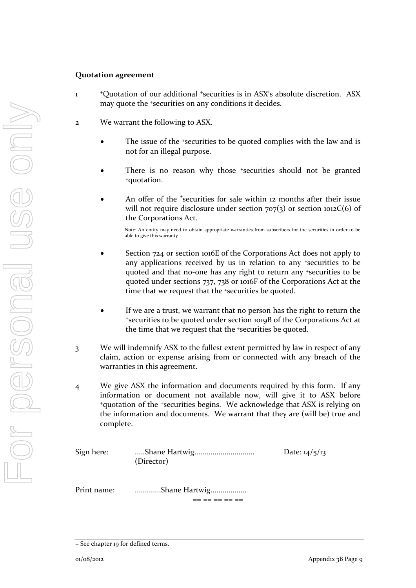#### **Quotation agreement**

1

- <sup>+</sup>Quotation of our additional <sup>+</sup>securities is in ASX's absolute discretion. ASX may quote the <sup>+</sup>securities on any conditions it decides.
- 2 We warrant the following to ASX.
	- The issue of the +securities to be quoted complies with the law and is not for an illegal purpose.
	- There is no reason why those *\*securities* should not be granted <sup>+</sup>quotation.
	- An offer of the *'securities* for sale within 12 months after their issue will not require disclosure under section  $707(3)$  or section  $1012C(6)$  of the Corporations Act.

Note: An entity may need to obtain appropriate warranties from subscribers for the securities in order to be able to give this warranty

- Section 724 or section 1016E of the Corporations Act does not apply to any applications received by us in relation to any +securities to be quoted and that no-one has any right to return any +securities to be quoted under sections 737, 738 or 1016F of the Corporations Act at the time that we request that the <sup>+</sup>securities be quoted.
- If we are a trust, we warrant that no person has the right to return the <sup>+</sup>securities to be quoted under section 1019B of the Corporations Act at the time that we request that the +securities be quoted.
- 3 We will indemnify ASX to the fullest extent permitted by law in respect of any claim, action or expense arising from or connected with any breach of the warranties in this agreement.
- 4 We give ASX the information and documents required by this form. If any information or document not available now, will give it to ASX before <sup>+</sup>quotation of the <sup>+</sup>securities begins. We acknowledge that ASX is relying on the information and documents. We warrant that they are (will be) true and complete.

| Sign here:  | (Director)    | Date: $14/5/13$ |
|-------------|---------------|-----------------|
| Print name: | Shane Hartwig |                 |

<sup>+</sup> See chapter 19 for defined terms.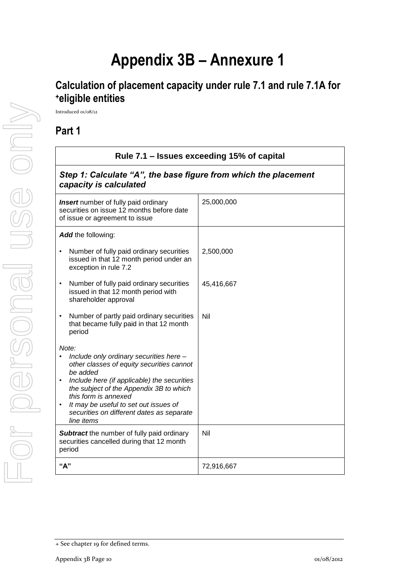# **Appendix 3B – Annexure 1**

## **Calculation of placement capacity under rule 7.1 and rule 7.1A for <sup>+</sup>eligible entities**

Introduced 01/08/12

**Part 1**

| Rule 7.1 - Issues exceeding 15% of capital                                                                                                                                                                                                                                                                                      |            |  |
|---------------------------------------------------------------------------------------------------------------------------------------------------------------------------------------------------------------------------------------------------------------------------------------------------------------------------------|------------|--|
| Step 1: Calculate "A", the base figure from which the placement<br>capacity is calculated                                                                                                                                                                                                                                       |            |  |
| <b>Insert</b> number of fully paid ordinary<br>securities on issue 12 months before date<br>of issue or agreement to issue                                                                                                                                                                                                      | 25,000,000 |  |
| Add the following:                                                                                                                                                                                                                                                                                                              |            |  |
| Number of fully paid ordinary securities<br>issued in that 12 month period under an<br>exception in rule 7.2                                                                                                                                                                                                                    | 2,500,000  |  |
| Number of fully paid ordinary securities<br>$\bullet$<br>issued in that 12 month period with<br>shareholder approval                                                                                                                                                                                                            | 45,416,667 |  |
| Number of partly paid ordinary securities<br>that became fully paid in that 12 month<br>period                                                                                                                                                                                                                                  | Nil        |  |
| Note:<br>Include only ordinary securities here -<br>other classes of equity securities cannot<br>be added<br>Include here (if applicable) the securities<br>the subject of the Appendix 3B to which<br>this form is annexed<br>It may be useful to set out issues of<br>securities on different dates as separate<br>line items |            |  |
| <b>Subtract</b> the number of fully paid ordinary<br>securities cancelled during that 12 month<br>period                                                                                                                                                                                                                        | Nil        |  |
| "А"                                                                                                                                                                                                                                                                                                                             | 72,916,667 |  |

<sup>+</sup> See chapter 19 for defined terms.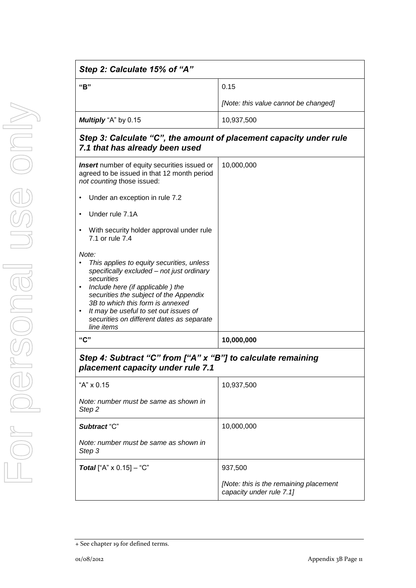| Step 2: Calculate 15% of "A"                                                                                                                                                                                                                                                                                                                                  |                                                                    |
|---------------------------------------------------------------------------------------------------------------------------------------------------------------------------------------------------------------------------------------------------------------------------------------------------------------------------------------------------------------|--------------------------------------------------------------------|
| "B"                                                                                                                                                                                                                                                                                                                                                           | 0.15                                                               |
|                                                                                                                                                                                                                                                                                                                                                               | [Note: this value cannot be changed]                               |
| Multiply "A" by 0.15                                                                                                                                                                                                                                                                                                                                          | 10,937,500                                                         |
| Step 3: Calculate "C", the amount of placement capacity under rule<br>7.1 that has already been used                                                                                                                                                                                                                                                          |                                                                    |
| <b>Insert</b> number of equity securities issued or<br>agreed to be issued in that 12 month period<br>not counting those issued:                                                                                                                                                                                                                              | 10,000,000                                                         |
| Under an exception in rule 7.2<br>٠                                                                                                                                                                                                                                                                                                                           |                                                                    |
| Under rule 7.1A<br>$\bullet$                                                                                                                                                                                                                                                                                                                                  |                                                                    |
| With security holder approval under rule<br>$\bullet$<br>7.1 or rule 7.4                                                                                                                                                                                                                                                                                      |                                                                    |
| Note:<br>This applies to equity securities, unless<br>specifically excluded - not just ordinary<br>securities<br>Include here (if applicable) the<br>$\bullet$<br>securities the subject of the Appendix<br>3B to which this form is annexed<br>It may be useful to set out issues of<br>$\bullet$<br>securities on different dates as separate<br>line items |                                                                    |
| "C"                                                                                                                                                                                                                                                                                                                                                           | 10,000,000                                                         |
| Step 4: Subtract "C" from ["A" x "B"] to calculate remaining<br>placement capacity under rule 7.1                                                                                                                                                                                                                                                             |                                                                    |
| "A" x 0.15                                                                                                                                                                                                                                                                                                                                                    | 10,937,500                                                         |
| Note: number must be same as shown in<br>Step <sub>2</sub>                                                                                                                                                                                                                                                                                                    |                                                                    |
| Subtract "C"                                                                                                                                                                                                                                                                                                                                                  | 10,000,000                                                         |
| Note: number must be same as shown in<br>Step 3                                                                                                                                                                                                                                                                                                               |                                                                    |
| <b>Total</b> ["A" $\times$ 0.15] – "C"                                                                                                                                                                                                                                                                                                                        | 937,500                                                            |
|                                                                                                                                                                                                                                                                                                                                                               | [Note: this is the remaining placement<br>capacity under rule 7.1] |

<sup>+</sup> See chapter 19 for defined terms.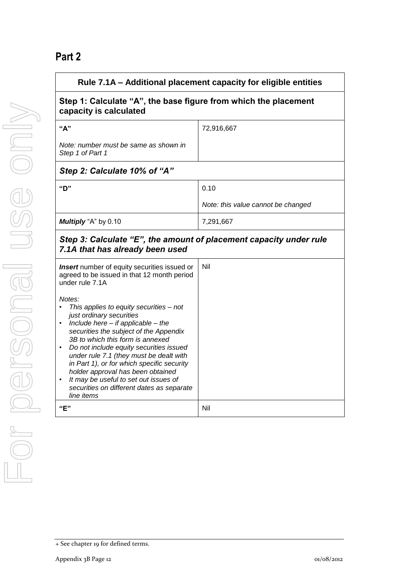## **Part 2**

| Rule 7.1A – Additional placement capacity for eligible entities                                                                                                                                                                                                                                                                                                                                                                                                                                              |                                    |  |
|--------------------------------------------------------------------------------------------------------------------------------------------------------------------------------------------------------------------------------------------------------------------------------------------------------------------------------------------------------------------------------------------------------------------------------------------------------------------------------------------------------------|------------------------------------|--|
| Step 1: Calculate "A", the base figure from which the placement<br>capacity is calculated                                                                                                                                                                                                                                                                                                                                                                                                                    |                                    |  |
| "A"                                                                                                                                                                                                                                                                                                                                                                                                                                                                                                          | 72,916,667                         |  |
| Note: number must be same as shown in<br>Step 1 of Part 1                                                                                                                                                                                                                                                                                                                                                                                                                                                    |                                    |  |
| Step 2: Calculate 10% of "A"                                                                                                                                                                                                                                                                                                                                                                                                                                                                                 |                                    |  |
| "D"<br>0.10                                                                                                                                                                                                                                                                                                                                                                                                                                                                                                  |                                    |  |
|                                                                                                                                                                                                                                                                                                                                                                                                                                                                                                              | Note: this value cannot be changed |  |
| Multiply "A" by 0.10                                                                                                                                                                                                                                                                                                                                                                                                                                                                                         | 7,291,667                          |  |
| Step 3: Calculate "E", the amount of placement capacity under rule<br>7.1A that has already been used                                                                                                                                                                                                                                                                                                                                                                                                        |                                    |  |
| Nil<br><b>Insert</b> number of equity securities issued or<br>agreed to be issued in that 12 month period<br>under rule 7.1A                                                                                                                                                                                                                                                                                                                                                                                 |                                    |  |
| Notes:<br>This applies to equity securities - not<br>just ordinary securities<br>Include here $-$ if applicable $-$ the<br>$\bullet$<br>securities the subject of the Appendix<br>3B to which this form is annexed<br>Do not include equity securities issued<br>under rule 7.1 (they must be dealt with<br>in Part 1), or for which specific security<br>holder approval has been obtained<br>It may be useful to set out issues of<br>$\bullet$<br>securities on different dates as separate<br>line items |                                    |  |
| "E"                                                                                                                                                                                                                                                                                                                                                                                                                                                                                                          | Nil                                |  |

<sup>+</sup> See chapter 19 for defined terms.